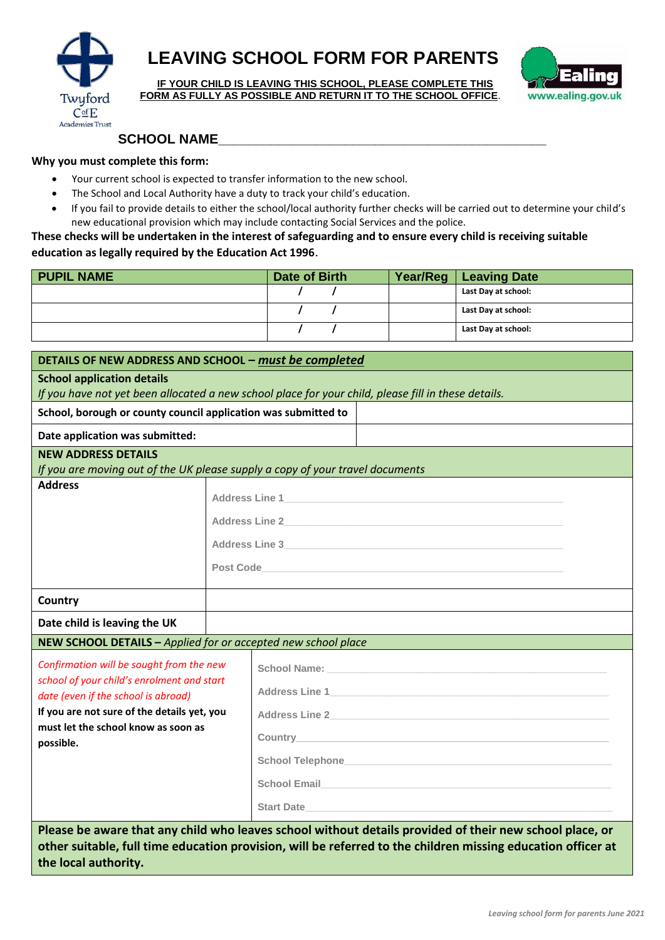

**the local authority.**

## **LEAVING SCHOOL FORM FOR PARENTS**

**IF YOUR CHILD IS LEAVING THIS SCHOOL, PLEASE COMPLETE THIS FORM AS FULLY AS POSSIBLE AND RETURN IT TO THE SCHOOL OFFICE**.



## **SCHOOL NAME\_\_\_\_\_\_\_\_\_\_\_\_\_\_\_\_\_\_\_\_\_\_\_\_\_\_\_\_\_\_\_\_\_\_\_\_\_\_\_\_\_\_\_\_**

## **Why you must complete this form:**

- Your current school is expected to transfer information to the new school.
- The School and Local Authority have a duty to track your child's education.
- If you fail to provide details to either the school/local authority further checks will be carried out to determine your child's new educational provision which may include contacting Social Services and the police.

**These checks will be undertaken in the interest of safeguarding and to ensure every child is receiving suitable education as legally required by the Education Act 1996**.

| <b>PUPIL NAME</b> | Date of Birth | Year/Reg   Leaving Date |
|-------------------|---------------|-------------------------|
|                   |               | Last Day at school:     |
|                   |               | Last Day at school:     |
|                   |               | Last Day at school:     |

| DETAILS OF NEW ADDRESS AND SCHOOL - must be completed                                                   |  |                                                                                                               |
|---------------------------------------------------------------------------------------------------------|--|---------------------------------------------------------------------------------------------------------------|
| <b>School application details</b>                                                                       |  |                                                                                                               |
| If you have not yet been allocated a new school place for your child, please fill in these details.     |  |                                                                                                               |
| School, borough or county council application was submitted to                                          |  |                                                                                                               |
| Date application was submitted:                                                                         |  |                                                                                                               |
| <b>NEW ADDRESS DETAILS</b>                                                                              |  |                                                                                                               |
|                                                                                                         |  | If you are moving out of the UK please supply a copy of your travel documents                                 |
| <b>Address</b>                                                                                          |  |                                                                                                               |
|                                                                                                         |  | Address Line 2                                                                                                |
|                                                                                                         |  | Address Line 3                                                                                                |
|                                                                                                         |  |                                                                                                               |
|                                                                                                         |  |                                                                                                               |
| Country                                                                                                 |  |                                                                                                               |
| Date child is leaving the UK                                                                            |  |                                                                                                               |
| NEW SCHOOL DETAILS - Applied for or accepted new school place                                           |  |                                                                                                               |
| Confirmation will be sought from the new                                                                |  |                                                                                                               |
| school of your child's enrolment and start<br>date (even if the school is abroad)                       |  |                                                                                                               |
| If you are not sure of the details yet, you                                                             |  |                                                                                                               |
| must let the school know as soon as                                                                     |  |                                                                                                               |
| possible.                                                                                               |  |                                                                                                               |
|                                                                                                         |  | School Telephone Management and Contact the Contact of Telephone Contact and Contact and Contact of Telephone |
|                                                                                                         |  | School Email <b>Example 2018</b> School Email                                                                 |
|                                                                                                         |  | Start Date                                                                                                    |
| Please be aware that any child who leaves school without details provided of their new school place, or |  |                                                                                                               |
|                                                                                                         |  | other suitable, full time education provision, will be referred to the children missing education officer at  |